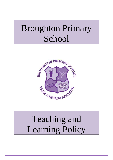## Broughton Primary School



# Teaching and Learning Policy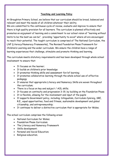#### **Teaching and Learning Policy**

At Broughton Primary School, we believe that our curriculum should be broad, balanced and relevant and meet the needs of all children whatever their ability.

We are committed to the continuous cycle of review, evaluate and improve to ensure that there is high quality provision for all learners. The curriculum is planned effectively and promotes an enjoyment of learning and a commitment to our school vision of "learning without limits to be the best we can be", providing "opportunity to excel" where all are encouraged to reach their potential. The taught curriculum is comprised of The National Curriculum, the LNF (Literacy/Numeracy Frameworks), The Revised Foundation Phase Framework for Children's Learning and the wider curriculum. We ensure the children have a range of learning experiences that challenge, stimulate and promote thinking and learning.

The curriculum meets statutory requirements and has been developed through whole school involvement to ensure that:

- **T** Tt focuses on the learner:
- It builds on children's prior knowledge
- It promotes thinking skills and assessment for/of learning;
- It promotes collaborative learning through the whole school use of effective pedagogy
- It ensures that appropriate Literacy and Numeracy Skills are woven throughout the curriculum;
- There is a focus on key and subject / AOL skills;
- It focuses on continuity and progression 3-19, by building on the Foundation Phase
- It is flexible, allowing for the involvement and input of the pupils
- It supports Government policy, including: bilingualism, Curriculum Cymreig, SRE, R.E., equal opportunities, food and fitness, sustainable development and global citizenship, and entrepreneurship;
- It continues to deliver a distinctive curriculum that is appropriate for Wales.

The school curriculum comprises the following areas:

- National Curriculum for Wales:
- Foundation Phase Curriculum;
- The Literacy and Numeracy Framework
- Skills development;
- Personal and Social Education;
- Religious education.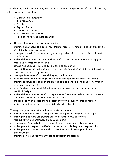Through integrated topic teaching we strive to develop the application of the following key skills across the curriculum:

- Literacy and Numeracy
- Communication;
- Creativity
- Digital Literacy;
- Co operative learning;
- Assessment for Learning;
- Problem-solving and Meta cognition
- The overall aims of the curriculum are to:
- promote high standards in speaking, listening, reading, writing and number through the use of the National Curriculum
- develop independent learners through the application of cross-curricular skills and core initiatives
- enable children to be confident in the use of ICT and become confident in applying those skills across the curriculum
- develop the personal , moral and social skills of each child
- Give pupils opportunities to discover their individual abilities and talents and identify their next steps for improvement
- develop a knowledge of the Welsh language and culture
- raise awareness of education for sustainable development and global citizenship
- promote spiritual development and enable pupils to develop moral sensibility through carefully taught values
- promote physical and mental development and an awareness of the importance of a healthy lifestyle
- enable children to be aware of the importance of, the Arts and culture so that they can be encouraged to develop their creative skills
- provide equality of access and the opportunity for all pupils to make progress
- prepare pupils for lifelong learning and to be aspirational

Through the provision of rich and varied activities, we aim to:

- encourage the best possible progress and the highest attainment for all pupils
- enable pupils to make connections across different areas of learning
- help pupils to think creatively and solve problems
- develop pupils' capacity to learn and work independently and collaboratively
- enable pupils to respond positively to opportunities, challenge and responsibility
- enable pupils to acquire and develop a broad range of knowledge, skills and understanding
- promote a life-long positive attitude to education and learning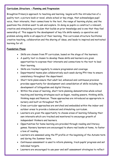#### **Curriculum Structure – Planning and Progression**

Broughton Primary's approach to teaching and learning begins with the introduction of a quality text, a picture book or novel, whole school or key stage, that acknowledges pupil voice, their interests, their connections to the text, the range of learning styles, and the questions the children want to ask and explore. In doing so pupils co construct a relevant, creative and stimulating curriculum that builds on prior knowledge and is one that they feel ownership of. This supports the development of key life skills namely co operative and problem solving skills in all aspects of their learning. This curriculum structure facilitates creative teaching, collaboration and the sharing of ideas, and leads to inspired and motivated learning for all.

#### **Foundation Phase**

- Skills are chosen from FP curriculum, based on the stage of the learners.
- A quality text is chosen to develop these skills and learners are given opportunities to express their interests and connections to the text to lead their learning.
- Skills are tracked regularly to ensure progression and coverage.
- Departmental teams plan collaboratively each week during PPA time to ensure consistency throughout the department.
- Short term plans ensure that adult led, enhanced and continuous provision provides opportunity for development and consolidation of skills including the development of bilingualism and digital literacy.
- Within the areas of learning, short term planning demonstrates whole school teaching and learning strategies such as Kagan, reading powers, thinking skills, thinking maps and Numicon. These approaches are introduced as appropriate in nursery and built on throughout the FP.
- Cross curricular approaches are enriched and embedded within the indoor and outdoor areas to provide a balanced and stimulating curriculum.
- Learners are given the opportunity to choose areas of learning following their own interests which are tracked and monitored to encourage growth of independent thinkers and learners.
- Opportunities for home learning are provided through reading and literacy games. Nursery learners are encouraged to share real books at home, to foster a love of reading.
- Learners are assessed using the FP profile at the beginning of the Autumn term and during the Summer term.
- Continuous assessment is used to inform planning, track pupils' progress and set individual targets.
- Learners are encouraged to use peer and self assessment strategies to reflect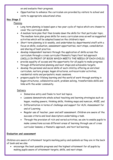on and evaluate their progress.

 Opportunities to enhance the curriculum are provided by visitors to school and visits to appropriate educational sites.

#### **Key Stage 2**

Planning

- Long term planning is based upon a two year cycle of topics which are chosen to cover the curriculum skills.
- A medium term plan that then breaks down the skills for that particular topic. The medium term plan gives skills for every curriculum area as well as suggested activities which will be adapted based on the children's input.
- Short term planning is bi-weekly, and undertaken by departmental staff with a focus on skills, evaluation, assessment opportunities, next steps, consolidation and sharing of best practice.
- develop independent learners through the application of skills across the curriculum through a cross curricular/thematic/topic/text led approach (SKILLS IN FRONT OF BOOK WHICH MEETS THE NEEDS OF EACH CHILD)
- provide equality of access and the opportunity for all pupils to make progress through differentiated planning and next steps and achievable targets.
- develop the personal and social skills of each child by offering an enriched curriculum, nurture groups, kagan structures, extracurricular activities, residential visits and peripatetic music sessions.
- prepare pupils for lifelong learning and the world of work through working in Kagan structures, collaborative work, problem solving, transferrable skills and links with the wider community.

#### Delivery

- Immersive entry and finale to text led topics.
- Lessons demonstrate whole school teaching and learning strategies such as kagan, reading powers, thinking skills, thinking maps and numicon, ANIE, and
- Differentiation in terms of challenge and support for ALN, Assessment for and of Learning
- Regular use of teacher, peer and self assessment. Children are aware of the success criteria and level descriptors undertaking a task.
- Through the provision of rich and varied activities, we aim to enable pupils to make connections across different areas of learning through use of cross curricular lessons, a thematic approach, and text led learning.

#### **Evaluation and assessment**

Children are aware of attainment targets marking policy and symbols as they are in the back of book and we also

 encourage the best possible progress and the highest attainment for all pupils by making pupils aware of attainment targets, skills, and next steps.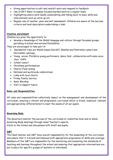- Giving opportunities to edit and redraft work and respond to feedback
- Use of BAT sheet to assess focused marked work on a regular basis
- Highlighting where work needs consolidating and linking back to basic skills and interventions such as catch up etc
- Regular use of teacher, peer and self assessment. Children are aware of the success criteria and level descriptors undertaking a task.

#### **Creative enrichment**

Children are given the opportunity to:

 develop a knowledge of the Welsh language and culture through focussed groups partaking in school and national Eisteddfod.

They are encouraged to take part in:

- Residential trips are Welsh based (Cardiff, Glanllyn and Pentrellyn cymer) and Cwricwlwm cymraeg.
- Young voices, Flintshire young performers, dance fest, collaboration with male voice choir, OAPs
- School council
- Christmas performances
- Charity Fund raising
- National and world wide celebrations
- Links with local church
- Friday Family Service
- Daily Worship
- Visit to support topics

#### **Roles and Responsibilities**

All roles and responsibilities collectively impact on the management and development of the curriculum, ensuring a vibrant and progressive curriculum which is broad, balanced, relevant and appropriately differentiated to meet the needs of all our pupils.

#### **Governing Body**

The Governors monitor the success of the curriculum at committee level and at whole Governing Body meetings through Head Teacher's reports. Visits to the School and discussions with Staff and pupils.

#### **SMT**

The Head teacher and SMT have overall responsibility for the leadership of the curriculum and ensure that it is broad and balanced with appropriate progression of skills and coverage. Members of the SMT are responsible for the monitoring and evaluating the standards of teaching and learning throughout the school and ensuring that appropriate interventions are put in place for specific groups of learners or individuals.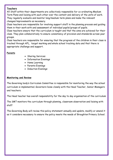#### **Teachers**

All Staff within their departments are collectively responsible for co-ordinating Medium Term Plans and liaising with each other over the content and delivery of the units of work. They regularly evaluate and monitor long/medium term plans and make the relevant changes/improvements as necessary.

Class teachers are responsible for involving support staff in the planning process and guiding them in their work with and assessment of individual pupils/groups of pupils.

Class teachers ensure that the curriculum is taught and that the aims are achieved for their class. They plan collaboratively to ensure consistency of provision and standards across year groups.

Class teachers are responsible for ensuring that the progress of the children in their class is tracked through AFL, target marking and whole school tracking data and that there is appropriate challenge and support.

#### **Parents**

- Sharing Services
- Information Evenings
- Home Learning
- Parents Evenings
- Induction Evenings

#### **Monitoring and Review**

The Governing body's Curriculum Committee is responsible for monitoring the way the school curriculum is implemented. Governors liaise closely with the Head Teacher, Senior Managers and teachers.

The Head teacher has overall responsibility for the day to day organisation of the curriculum

The SMT monitors the curriculum through planning, classroom observation and liaising with staff

The Governing Body will review this policy statement annually and update, modify or amend it as it considers necessary to ensure the policy meets the needs of Broughton Primary School.